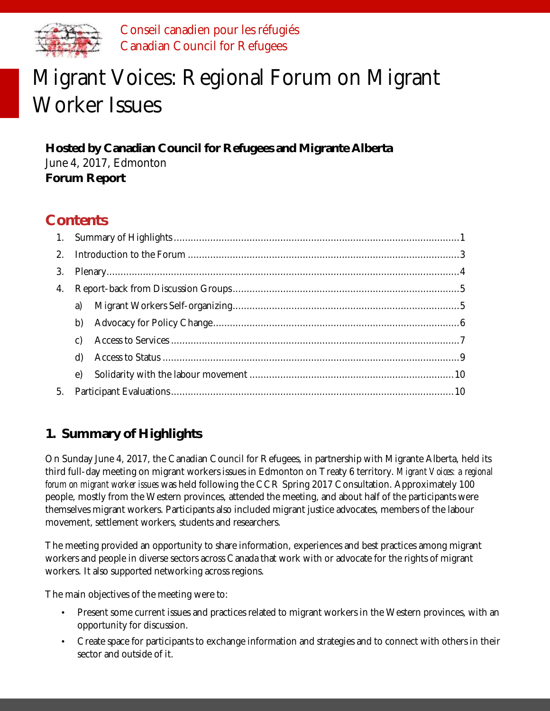

Conseil canadien pour les réfugiés Canadian Council for Refugees

# Migrant Voices: Regional Forum on Migrant Worker Issues

**Hosted by Canadian Council for Refugees and Migrante Alberta** June 4, 2017, Edmonton **Forum Report**

# **Contents**

|    | a)              |  |  |  |
|----|-----------------|--|--|--|
|    | b)              |  |  |  |
|    | $\mathcal{C}$ ) |  |  |  |
|    | $\mathsf{d}$    |  |  |  |
|    | $\epsilon$      |  |  |  |
| 5. |                 |  |  |  |

# <span id="page-0-0"></span>**1. Summary of Highlights**

On Sunday June 4, 2017, the Canadian Council for Refugees, in partnership with Migrante Alberta, held its third full-day meeting on migrant workers issues in Edmonton on Treaty 6 territory. *Migrant Voices: a regional forum on migrant worker issues* was held following the CCR Spring 2017 Consultation. Approximately 100 people, mostly from the Western provinces, attended the meeting, and about half of the participants were themselves migrant workers. Participants also included migrant justice advocates, members of the labour movement, settlement workers, students and researchers.

The meeting provided an opportunity to share information, experiences and best practices among migrant workers and people in diverse sectors across Canada that work with or advocate for the rights of migrant workers. It also supported networking across regions.

The main objectives of the meeting were to:

- Present some current issues and practices related to migrant workers in the Western provinces, with an opportunity for discussion.
- Create space for participants to exchange information and strategies and to connect with others in their sector and outside of it.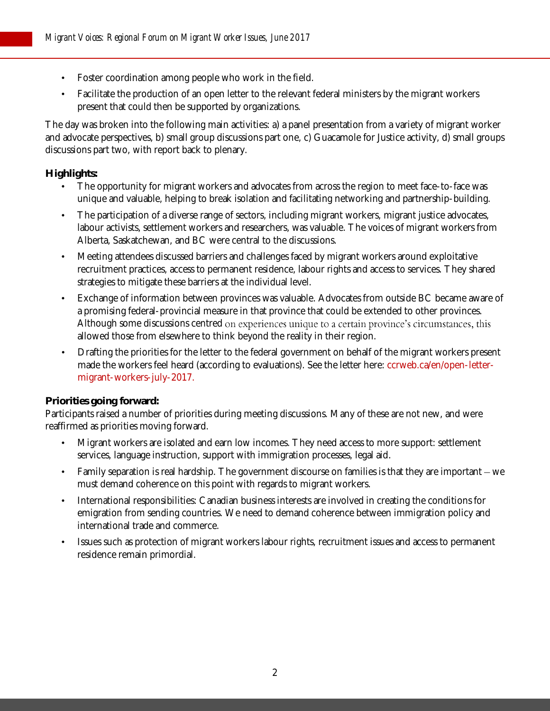- Foster coordination among people who work in the field.
- Facilitate the production of an open letter to the relevant federal ministers by the migrant workers present that could then be supported by organizations.

The day was broken into the following main activities: a) a panel presentation from a variety of migrant worker and advocate perspectives, b) small group discussions part one, c) Guacamole for Justice activity, d) small groups discussions part two, with report back to plenary.

#### **Highlights:**

- The opportunity for migrant workers and advocates from across the region to meet face-to-face was unique and valuable, helping to break isolation and facilitating networking and partnership-building.
- The participation of a diverse range of sectors, including migrant workers, migrant justice advocates, labour activists, settlement workers and researchers, was valuable. The voices of migrant workers from Alberta, Saskatchewan, and BC were central to the discussions.
- Meeting attendees discussed barriers and challenges faced by migrant workers around exploitative recruitment practices, access to permanent residence, labour rights and access to services. They shared strategies to mitigate these barriers at the individual level.
- Exchange of information between provinces was valuable. Advocates from outside BC became aware of a promising federal-provincial measure in that province that could be extended to other provinces. Although some discussions centred on experiences unique to a certain province's circumstances, this allowed those from elsewhere to think beyond the reality in their region.
- Drafting the priorities for the letter to the federal government on behalf of the migrant workers present made the workers feel heard (according to evaluations). See the letter here[: ccrweb.ca/en/open-letter](http://ccrweb.ca/en/open-letter-migrant-workers-july-2017)[migrant-workers-july-2017.](http://ccrweb.ca/en/open-letter-migrant-workers-july-2017)

#### **Priorities going forward:**

Participants raised a number of priorities during meeting discussions. Many of these are not new, and were reaffirmed as priorities moving forward.

- Migrant workers are isolated and earn low incomes. They need access to more support: settlement services, language instruction, support with immigration processes, legal aid.
- Family separation is real hardship. The government discourse on families is that they are important we must demand coherence on this point with regards to migrant workers.
- International responsibilities: Canadian business interests are involved in creating the conditions for emigration from sending countries. We need to demand coherence between immigration policy and international trade and commerce.
- Issues such as protection of migrant workers labour rights, recruitment issues and access to permanent residence remain primordial.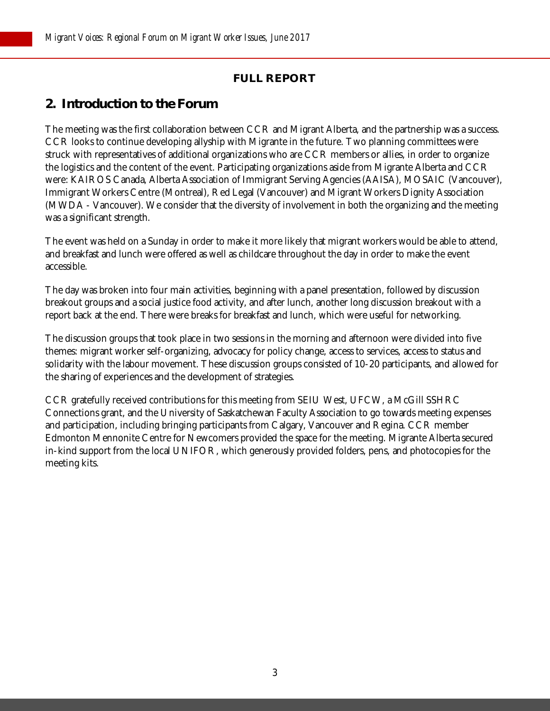## **FULL REPORT**

## <span id="page-2-0"></span>**2. Introduction to the Forum**

The meeting was the first collaboration between CCR and Migrant Alberta, and the partnership was a success. CCR looks to continue developing allyship with Migrante in the future. Two planning committees were struck with representatives of additional organizations who are CCR members or allies, in order to organize the logistics and the content of the event. Participating organizations aside from Migrante Alberta and CCR were: KAIROS Canada, Alberta Association of Immigrant Serving Agencies (AAISA), MOSAIC (Vancouver), Immigrant Workers Centre (Montreal), Red Legal (Vancouver) and Migrant Workers Dignity Association (MWDA - Vancouver). We consider that the diversity of involvement in both the organizing and the meeting was a significant strength.

The event was held on a Sunday in order to make it more likely that migrant workers would be able to attend, and breakfast and lunch were offered as well as childcare throughout the day in order to make the event accessible.

The day was broken into four main activities, beginning with a panel presentation, followed by discussion breakout groups and a social justice food activity, and after lunch, another long discussion breakout with a report back at the end. There were breaks for breakfast and lunch, which were useful for networking.

The discussion groups that took place in two sessions in the morning and afternoon were divided into five themes: migrant worker self-organizing, advocacy for policy change, access to services, access to status and solidarity with the labour movement. These discussion groups consisted of 10-20 participants, and allowed for the sharing of experiences and the development of strategies.

CCR gratefully received contributions for this meeting from SEIU West, UFCW, a McGill SSHRC Connections grant, and the University of Saskatchewan Faculty Association to go towards meeting expenses and participation, including bringing participants from Calgary, Vancouver and Regina. CCR member Edmonton Mennonite Centre for Newcomers provided the space for the meeting. Migrante Alberta secured in-kind support from the local UNIFOR, which generously provided folders, pens, and photocopies for the meeting kits.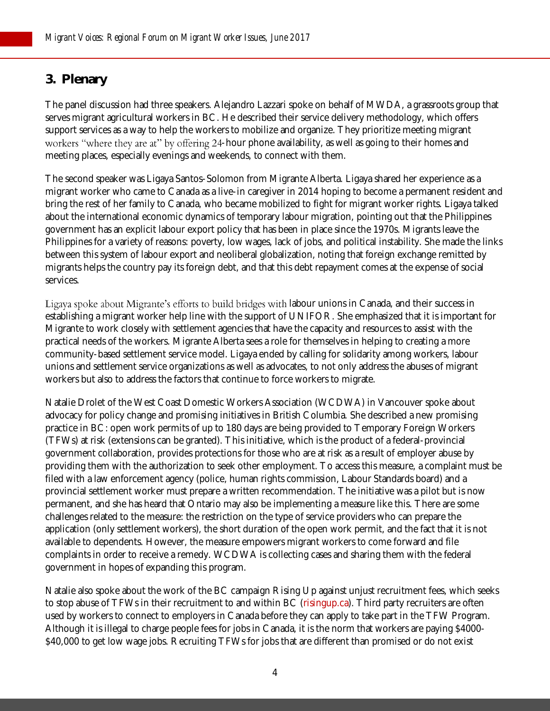## <span id="page-3-0"></span>**3. Plenary**

The panel discussion had three speakers. Alejandro Lazzari spoke on behalf of MWDA, a grassroots group that serves migrant agricultural workers in BC. He described their service delivery methodology, which offers support services as a way to help the workers to mobilize and organize. They prioritize meeting migrant workers "where they are at" by offering 24-hour phone availability, as well as going to their homes and meeting places, especially evenings and weekends, to connect with them.

The second speaker was Ligaya Santos-Solomon from Migrante Alberta. Ligaya shared her experience as a migrant worker who came to Canada as a live-in caregiver in 2014 hoping to become a permanent resident and bring the rest of her family to Canada, who became mobilized to fight for migrant worker rights. Ligaya talked about the international economic dynamics of temporary labour migration, pointing out that the Philippines government has an explicit labour export policy that has been in place since the 1970s. Migrants leave the Philippines for a variety of reasons: poverty, low wages, lack of jobs, and political instability. She made the links between this system of labour export and neoliberal globalization, noting that foreign exchange remitted by migrants helps the country pay its foreign debt, and that this debt repayment comes at the expense of social services.

Ligaya spoke about Migrante's efforts to build bridges with labour unions in Canada, and their success in establishing a migrant worker help line with the support of UNIFOR. She emphasized that it is important for Migrante to work closely with settlement agencies that have the capacity and resources to assist with the practical needs of the workers. Migrante Alberta sees a role for themselves in helping to creating a more community-based settlement service model. Ligaya ended by calling for solidarity among workers, labour unions and settlement service organizations as well as advocates, to not only address the abuses of migrant workers but also to address the factors that continue to force workers to migrate.

Natalie Drolet of the West Coast Domestic Workers Association (WCDWA) in Vancouver spoke about advocacy for policy change and promising initiatives in British Columbia. She described a new promising practice in BC: open work permits of up to 180 days are being provided to Temporary Foreign Workers (TFWs) at risk (extensions can be granted). This initiative, which is the product of a federal-provincial government collaboration, provides protections for those who are at risk as a result of employer abuse by providing them with the authorization to seek other employment. To access this measure, a complaint must be filed with a law enforcement agency (police, human rights commission, Labour Standards board) and a provincial settlement worker must prepare a written recommendation. The initiative was a pilot but is now permanent, and she has heard that Ontario may also be implementing a measure like this. There are some challenges related to the measure: the restriction on the type of service providers who can prepare the application (only settlement workers), the short duration of the open work permit, and the fact that it is not available to dependents. However, the measure empowers migrant workers to come forward and file complaints in order to receive a remedy. WCDWA is collecting cases and sharing them with the federal government in hopes of expanding this program.

Natalie also spoke about the work of the BC campaign Rising Up against unjust recruitment fees, which seeks to stop abuse of TFWs in their recruitment to and within BC [\(risingup.ca\)](http://risingup.ca/). Third party recruiters are often used by workers to connect to employers in Canada before they can apply to take part in the TFW Program. Although it is illegal to charge people fees for jobs in Canada, it is the norm that workers are paying \$4000- \$40,000 to get low wage jobs. Recruiting TFWs for jobs that are different than promised or do not exist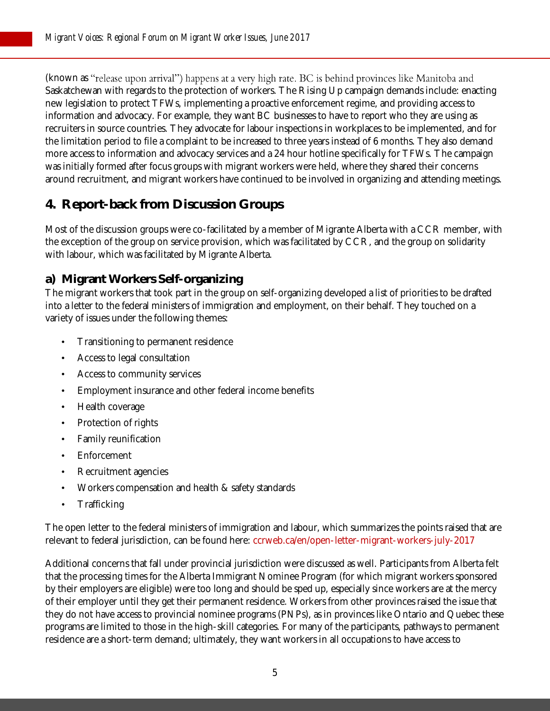(known as "release upon arrival") happens at a very high rate. BC is behind provinces like Manitoba and Saskatchewan with regards to the protection of workers. The Rising Up campaign demands include: enacting new legislation to protect TFWs, implementing a proactive enforcement regime, and providing access to information and advocacy. For example, they want BC businesses to have to report who they are using as recruiters in source countries. They advocate for labour inspections in workplaces to be implemented, and for the limitation period to file a complaint to be increased to three years instead of 6 months. They also demand more access to information and advocacy services and a 24 hour hotline specifically for TFWs. The campaign was initially formed after focus groups with migrant workers were held, where they shared their concerns around recruitment, and migrant workers have continued to be involved in organizing and attending meetings.

# <span id="page-4-0"></span>**4. Report-back from Discussion Groups**

Most of the discussion groups were co-facilitated by a member of Migrante Alberta with a CCR member, with the exception of the group on service provision, which was facilitated by CCR, and the group on solidarity with labour, which was facilitated by Migrante Alberta.

## <span id="page-4-1"></span>**a) Migrant Workers Self-organizing**

The migrant workers that took part in the group on self-organizing developed a list of priorities to be drafted into a letter to the federal ministers of immigration and employment, on their behalf. They touched on a variety of issues under the following themes:

- Transitioning to permanent residence
- Access to legal consultation
- Access to community services
- Employment insurance and other federal income benefits
- Health coverage
- Protection of rights
- Family reunification
- **Enforcement**
- Recruitment agencies
- Workers compensation and health & safety standards
- **Trafficking**

The open letter to the federal ministers of immigration and labour, which summarizes the points raised that are relevant to federal jurisdiction, can be found here: [ccrweb.ca/en/open-letter-migrant-workers-july-2017](http://ccrweb.ca/en/open-letter-migrant-workers-july-2017) 

Additional concerns that fall under provincial jurisdiction were discussed as well. Participants from Alberta felt that the processing times for the Alberta Immigrant Nominee Program (for which migrant workers sponsored by their employers are eligible) were too long and should be sped up, especially since workers are at the mercy of their employer until they get their permanent residence. Workers from other provinces raised the issue that they do not have access to provincial nominee programs (PNPs), as in provinces like Ontario and Quebec these programs are limited to those in the high-skill categories. For many of the participants, pathways to permanent residence are a short-term demand; ultimately, they want workers in all occupations to have access to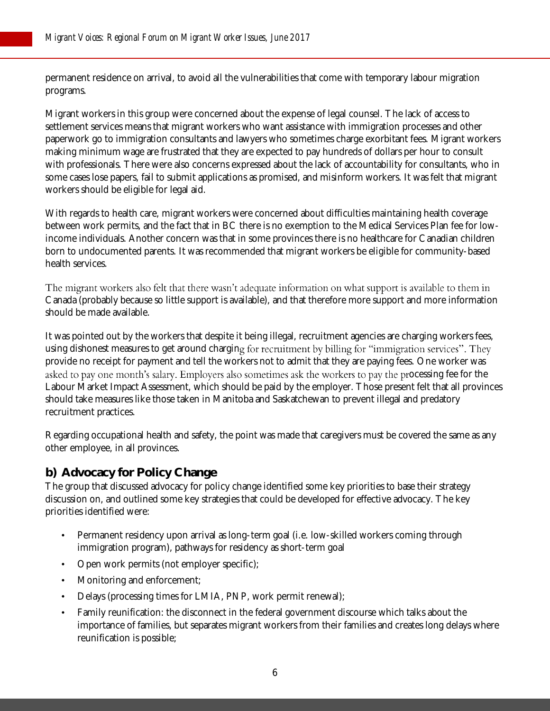permanent residence on arrival, to avoid all the vulnerabilities that come with temporary labour migration programs.

Migrant workers in this group were concerned about the expense of legal counsel. The lack of access to settlement services means that migrant workers who want assistance with immigration processes and other paperwork go to immigration consultants and lawyers who sometimes charge exorbitant fees. Migrant workers making minimum wage are frustrated that they are expected to pay hundreds of dollars per hour to consult with professionals. There were also concerns expressed about the lack of accountability for consultants, who in some cases lose papers, fail to submit applications as promised, and misinform workers. It was felt that migrant workers should be eligible for legal aid.

With regards to health care, migrant workers were concerned about difficulties maintaining health coverage between work permits, and the fact that in BC there is no exemption to the Medical Services Plan fee for lowincome individuals. Another concern was that in some provinces there is no healthcare for Canadian children born to undocumented parents. It was recommended that migrant workers be eligible for community-based health services.

The migrant workers also felt that there wasn't adequate information on what support is available to them in Canada (probably because so little support is available), and that therefore more support and more information should be made available.

It was pointed out by the workers that despite it being illegal, recruitment agencies are charging workers fees, using dishonest measures to get around charging for recruitment by billing for "immigration services". They provide no receipt for payment and tell the workers not to admit that they are paying fees. One worker was asked to pay one month's salary. Employers also sometimes ask the workers to pay the processing fee for the Labour Market Impact Assessment, which should be paid by the employer. Those present felt that all provinces should take measures like those taken in Manitoba and Saskatchewan to prevent illegal and predatory recruitment practices.

Regarding occupational health and safety, the point was made that caregivers must be covered the same as any other employee, in all provinces.

## <span id="page-5-0"></span>**b) Advocacy for Policy Change**

The group that discussed advocacy for policy change identified some key priorities to base their strategy discussion on, and outlined some key strategies that could be developed for effective advocacy. The key priorities identified were:

- Permanent residency upon arrival as long-term goal (i.e. low-skilled workers coming through immigration program), pathways for residency as short-term goal
- Open work permits (not employer specific);
- Monitoring and enforcement;
- Delays (processing times for LMIA, PNP, work permit renewal);
- Family reunification: the disconnect in the federal government discourse which talks about the importance of families, but separates migrant workers from their families and creates long delays where reunification is possible;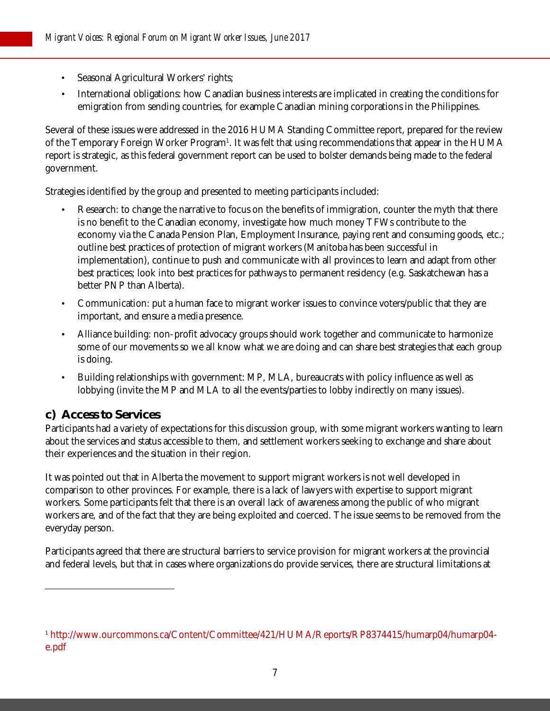- Seasonal Agricultural Workers' rights;
- International obligations: how Canadian business interests are implicated in creating the conditions for emigration from sending countries, for example Canadian mining corporations in the Philippines.

Several of these issues were addressed in the 2016 HUMA Standing Committee report, prepared for the review of the Temporary Foreign Worker Program<sup>1</sup>. It was felt that using recommendations that appear in the HUMA report is strategic, as this federal government report can be used to bolster demands being made to the federal government.

Strategies identified by the group and presented to meeting participants included:

- Research: to change the narrative to focus on the benefits of immigration, counter the myth that there is no benefit to the Canadian economy, investigate how much money TFWs contribute to the economy via the Canada Pension Plan, Employment Insurance, paying rent and consuming goods, etc.; outline best practices of protection of migrant workers (Manitoba has been successful in implementation), continue to push and communicate with all provinces to learn and adapt from other best practices; look into best practices for pathways to permanent residency (e.g. Saskatchewan has a better PNP than Alberta).
- Communication: put a human face to migrant worker issues to convince voters/public that they are important, and ensure a media presence.
- Alliance building: non-profit advocacy groups should work together and communicate to harmonize some of our movements so we all know what we are doing and can share best strategies that each group is doing.
- Building relationships with government: MP, MLA, bureaucrats with policy influence as well as lobbying (invite the MP and MLA to all the events/parties to lobby indirectly on many issues).

## <span id="page-6-0"></span>**c) Access to Services**

1

Participants had a variety of expectations for this discussion group, with some migrant workers wanting to learn about the services and status accessible to them, and settlement workers seeking to exchange and share about their experiences and the situation in their region.

It was pointed out that in Alberta the movement to support migrant workers is not well developed in comparison to other provinces. For example, there is a lack of lawyers with expertise to support migrant workers. Some participants felt that there is an overall lack of awareness among the public of who migrant workers are, and of the fact that they are being exploited and coerced. The issue seems to be removed from the everyday person.

Participants agreed that there are structural barriers to service provision for migrant workers at the provincial and federal levels, but that in cases where organizations do provide services, there are structural limitations at

<sup>1</sup> [http://www.ourcommons.ca/Content/Committee/421/HUMA/Reports/RP8374415/humarp04/humarp04](http://www.ourcommons.ca/Content/Committee/421/HUMA/Reports/RP8374415/humarp04/humarp04-e.pdf) [e.pdf](http://www.ourcommons.ca/Content/Committee/421/HUMA/Reports/RP8374415/humarp04/humarp04-e.pdf)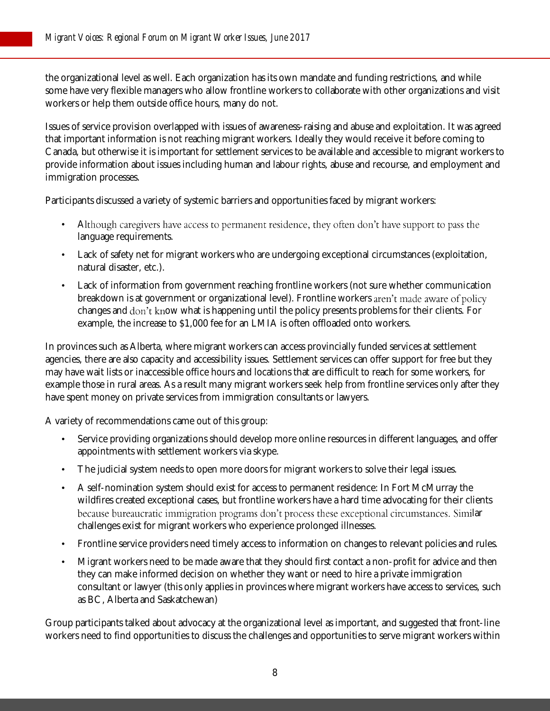the organizational level as well. Each organization has its own mandate and funding restrictions, and while some have very flexible managers who allow frontline workers to collaborate with other organizations and visit workers or help them outside office hours, many do not.

Issues of service provision overlapped with issues of awareness-raising and abuse and exploitation. It was agreed that important information is not reaching migrant workers. Ideally they would receive it before coming to Canada, but otherwise it is important for settlement services to be available and accessible to migrant workers to provide information about issues including human and labour rights, abuse and recourse, and employment and immigration processes.

Participants discussed a variety of systemic barriers and opportunities faced by migrant workers:

- Although caregivers have access to permanent residence, they often don't have support to pass the language requirements.
- Lack of safety net for migrant workers who are undergoing exceptional circumstances (exploitation, natural disaster, etc.).
- Lack of information from government reaching frontline workers (not sure whether communication breakdown is at government or organizational level). Frontline workers changes and don't know what is happening until the policy presents problems for their clients. For example, the increase to \$1,000 fee for an LMIA is often offloaded onto workers.

In provinces such as Alberta, where migrant workers can access provincially funded services at settlement agencies, there are also capacity and accessibility issues. Settlement services can offer support for free but they may have wait lists or inaccessible office hours and locations that are difficult to reach for some workers, for example those in rural areas. As a result many migrant workers seek help from frontline services only after they have spent money on private services from immigration consultants or lawyers.

A variety of recommendations came out of this group:

- Service providing organizations should develop more online resources in different languages, and offer appointments with settlement workers via skype.
- The judicial system needs to open more doors for migrant workers to solve their legal issues.
- A self-nomination system should exist for access to permanent residence: In Fort McMurray the wildfires created exceptional cases, but frontline workers have a hard time advocating for their clients because bureaucratic immigration programs don't process these exceptional circumstances. Similar challenges exist for migrant workers who experience prolonged illnesses.
- Frontline service providers need timely access to information on changes to relevant policies and rules.
- Migrant workers need to be made aware that they should first contact a non-profit for advice and then they can make informed decision on whether they want or need to hire a private immigration consultant or lawyer (this only applies in provinces where migrant workers have access to services, such as BC, Alberta and Saskatchewan)

Group participants talked about advocacy at the organizational level as important, and suggested that front-line workers need to find opportunities to discuss the challenges and opportunities to serve migrant workers within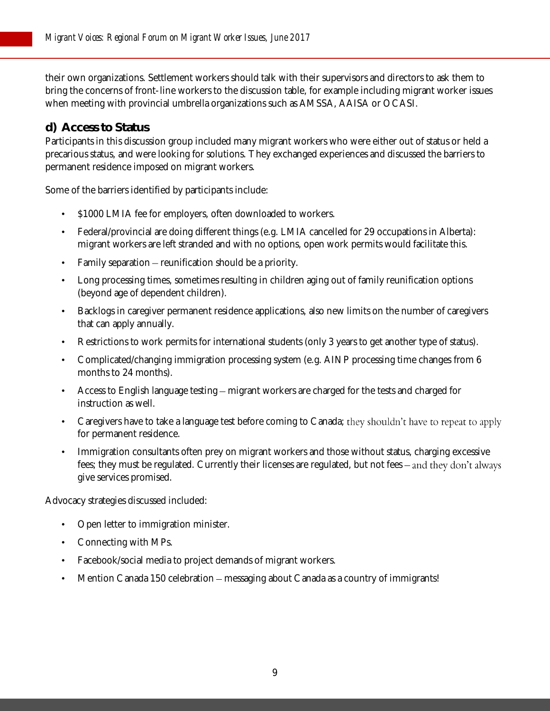their own organizations. Settlement workers should talk with their supervisors and directors to ask them to bring the concerns of front-line workers to the discussion table, for example including migrant worker issues when meeting with provincial umbrella organizations such as AMSSA, AAISA or OCASI.

#### <span id="page-8-0"></span>**d) Access to Status**

Participants in this discussion group included many migrant workers who were either out of status or held a precarious status, and were looking for solutions. They exchanged experiences and discussed the barriers to permanent residence imposed on migrant workers.

Some of the barriers identified by participants include:

- \$1000 LMIA fee for employers, often downloaded to workers.
- Federal/provincial are doing different things (e.g. LMIA cancelled for 29 occupations in Alberta): migrant workers are left stranded and with no options, open work permits would facilitate this.
- Family separation  $-$  reunification should be a priority.
- Long processing times, sometimes resulting in children aging out of family reunification options (beyond age of dependent children).
- Backlogs in caregiver permanent residence applications, also new limits on the number of caregivers that can apply annually.
- Restrictions to work permits for international students (only 3 years to get another type of status).
- Complicated/changing immigration processing system (e.g. AINP processing time changes from 6 months to 24 months).
- Access to English language testing migrant workers are charged for the tests and charged for instruction as well.
- Caregivers have to take a language test before coming to Canada; they shouldn't have to repeat to apply for permanent residence.
- Immigration consultants often prey on migrant workers and those without status, charging excessive fees; they must be regulated. Currently their licenses are regulated, but not fees – and they don't always give services promised.

Advocacy strategies discussed included:

- Open letter to immigration minister.
- Connecting with MPs.
- Facebook/social media to project demands of migrant workers.
- Mention Canada 150 celebration messaging about Canada as a country of immigrants!